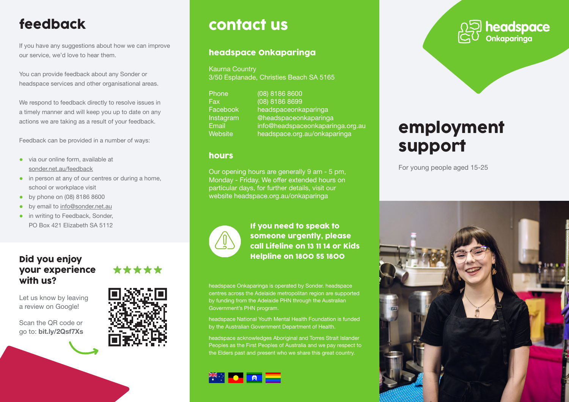# feedback

If you have any suggestions about how we can improve our service, we'd love to hear them.

You can provide feedback about any Sonder or headspace services and other organisational areas.

We respond to feedback directly to resolve issues in a timely manner and will keep you up to date on any actions we are taking as a result of your feedback.

Feedback can be provided in a number of ways:

- via our online form, available at sonder.net.au/feedback
- in person at any of our centres or during a home, school or workplace visit
- by phone on (08) 8186 8600
- by email to info@sonder.net.au
- in writing to Feedback, Sonder, PO Box 421 Elizabeth SA 5112

#### Did you enjoy your experience with us?

Let us know by leaving a review on Google!

Scan the QR code or go to: bit.ly/2Qsf7Xs



\*\*\*\*\*

## contact us

#### headspace Onkaparinga

Kaurna Country 3/50 Esplanade, Christies Beach SA 5165

| Phone     | (08) 8186 8600                   |
|-----------|----------------------------------|
| Fax       | (08) 8186 8699                   |
| Facebook  | headspaceonkaparinga             |
| Instagram | @headspaceonkaparinga            |
| Email     | info@headspaceonkaparinga.org.au |
| Website   | headspace.org.au/onkaparinga     |

#### hours

Our opening hours are generally 9 am - 5 pm, Monday - Friday. We offer extended hours on particular days, for further details, visit our website headspace.org.au/onkaparinga



If you need to speak to someone urgently, please call Lifeline on 13 11 14 or Kids Helpline on 1800 55 1800

headspace Onkaparinga is operated by Sonder. headspace centres across the Adelaide metropolitan region are supported by funding from the Adelaide PHN through the Australian Government's PHN program.

headspace National Youth Mental Health Foundation is funded by the Australian Government Department of Health.

headspace acknowledges Aboriginal and Torres Strait Islander Peoples as the First Peoples of Australia and we pay respect to the Elders past and present who we share this great country.





# employment support

For young people aged 15-25